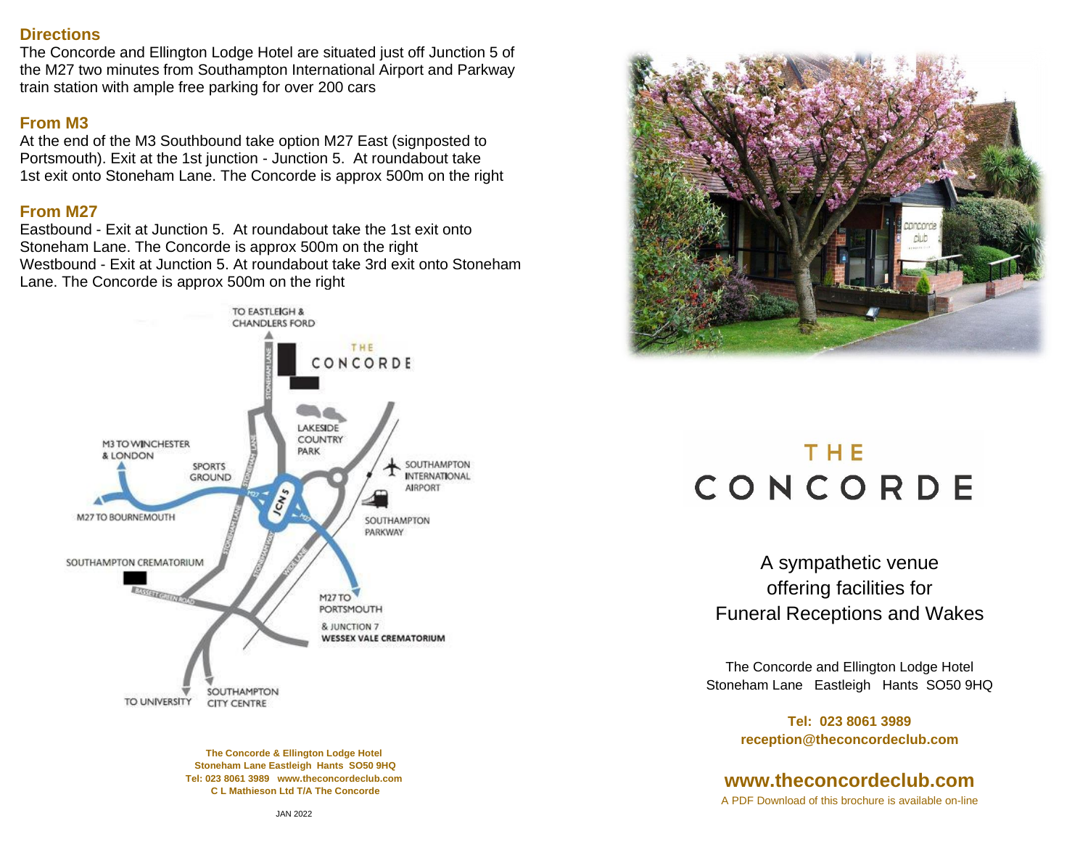#### **Directions**

The Concorde and Ellington Lodge Hotel are situated just off Junction 5 of the M27 two minutes from Southampton International Airport and Parkway train station with ample free parking for over 200 cars

# **From M3**

At the end of the M3 Southbound take option M27 East (signposted to Portsmouth). Exit at the 1st junction - Junction 5. At roundabout take 1st exit onto Stoneham Lane. The Concorde is approx 500m on the right

# **From M27**

Eastbound - Exit at Junction 5. At roundabout take the 1st exit onto Stoneham Lane. The Concorde is approx 500m on the right Westbound - Exit at Junction 5. At roundabout take 3rd exit onto Stoneham Lane. The Concorde is approx 500m on the right



**The Concorde & Ellington Lodge Hotel Stoneham Lane Eastleigh Hants SO50 9HQ Tel: 023 8061 3989 [www.theconcordeclub.com](http://www.theconcordeclub.com/) C L Mathieson Ltd T/A The Concorde** 



# THE CONCORDE

A sympathetic venue offering facilities for Funeral Receptions and Wakes

The Concorde and Ellington Lodge Hotel Stoneham Lane Eastleigh Hants SO50 9HQ

> **Tel: 023 8061 3989 reception@theconcordeclub.com**

# **[www.theconcordeclub.com](http://www.theconcordeclub.com/)** A PDF Download of this brochure is available on-line